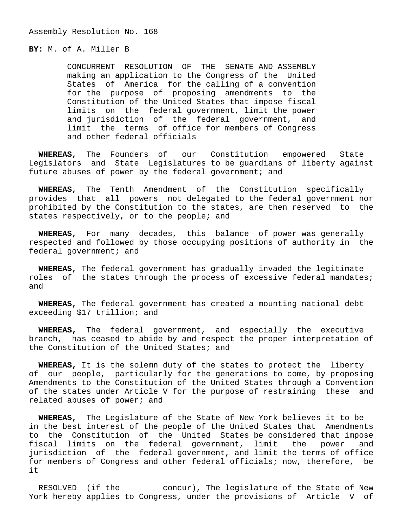Assembly Resolution No. 168

**BY:** M. of A. Miller B

 CONCURRENT RESOLUTION OF THE SENATE AND ASSEMBLY making an application to the Congress of the United States of America for the calling of a convention for the purpose of proposing amendments to the Constitution of the United States that impose fiscal limits on the federal government, limit the power and jurisdiction of the federal government, and limit the terms of office for members of Congress and other federal officials

 **WHEREAS,** The Founders of our Constitution empowered State Legislators and State Legislatures to be guardians of liberty against future abuses of power by the federal government; and

 **WHEREAS,** The Tenth Amendment of the Constitution specifically provides that all powers not delegated to the federal government nor prohibited by the Constitution to the states, are then reserved to the states respectively, or to the people; and

 **WHEREAS,** For many decades, this balance of power was generally respected and followed by those occupying positions of authority in the federal government; and

 **WHEREAS,** The federal government has gradually invaded the legitimate roles of the states through the process of excessive federal mandates; and

 **WHEREAS,** The federal government has created a mounting national debt exceeding \$17 trillion; and

 **WHEREAS,** The federal government, and especially the executive branch, has ceased to abide by and respect the proper interpretation of the Constitution of the United States; and

 **WHEREAS,** It is the solemn duty of the states to protect the liberty of our people, particularly for the generations to come, by proposing Amendments to the Constitution of the United States through a Convention of the states under Article V for the purpose of restraining these and related abuses of power; and

 **WHEREAS,** The Legislature of the State of New York believes it to be in the best interest of the people of the United States that Amendments to the Constitution of the United States be considered that impose fiscal limits on the federal government, limit the power and jurisdiction of the federal government, and limit the terms of office for members of Congress and other federal officials; now, therefore, be it

 RESOLVED (if the concur), The legislature of the State of New York hereby applies to Congress, under the provisions of Article V of